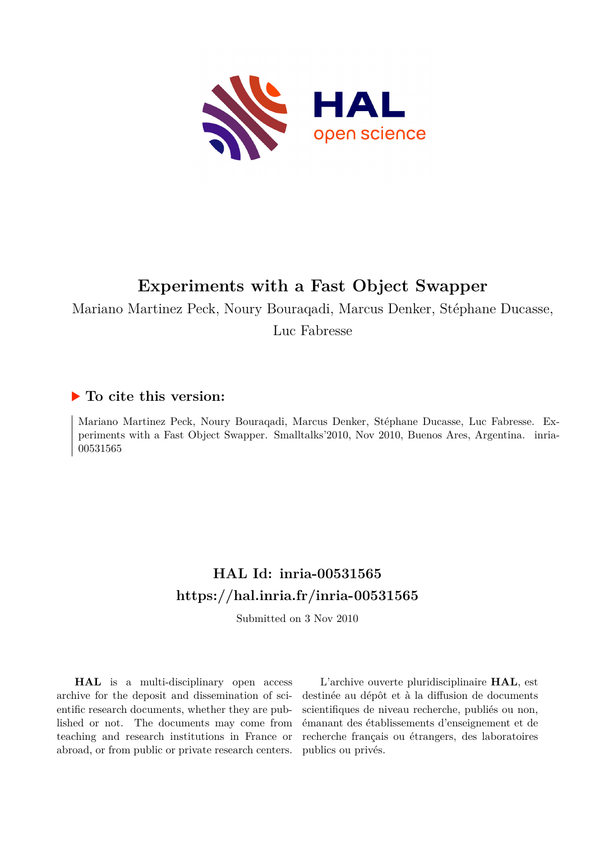

# **Experiments with a Fast Object Swapper**

Mariano Martinez Peck, Noury Bouraqadi, Marcus Denker, Stéphane Ducasse,

Luc Fabresse

# **To cite this version:**

Mariano Martinez Peck, Noury Bouraqadi, Marcus Denker, Stéphane Ducasse, Luc Fabresse. Experiments with a Fast Object Swapper. Smalltalks'2010, Nov 2010, Buenos Ares, Argentina. inria-00531565ff

# **HAL Id: inria-00531565 <https://hal.inria.fr/inria-00531565>**

Submitted on 3 Nov 2010

**HAL** is a multi-disciplinary open access archive for the deposit and dissemination of scientific research documents, whether they are published or not. The documents may come from teaching and research institutions in France or abroad, or from public or private research centers.

L'archive ouverte pluridisciplinaire **HAL**, est destinée au dépôt et à la diffusion de documents scientifiques de niveau recherche, publiés ou non, émanant des établissements d'enseignement et de recherche français ou étrangers, des laboratoires publics ou privés.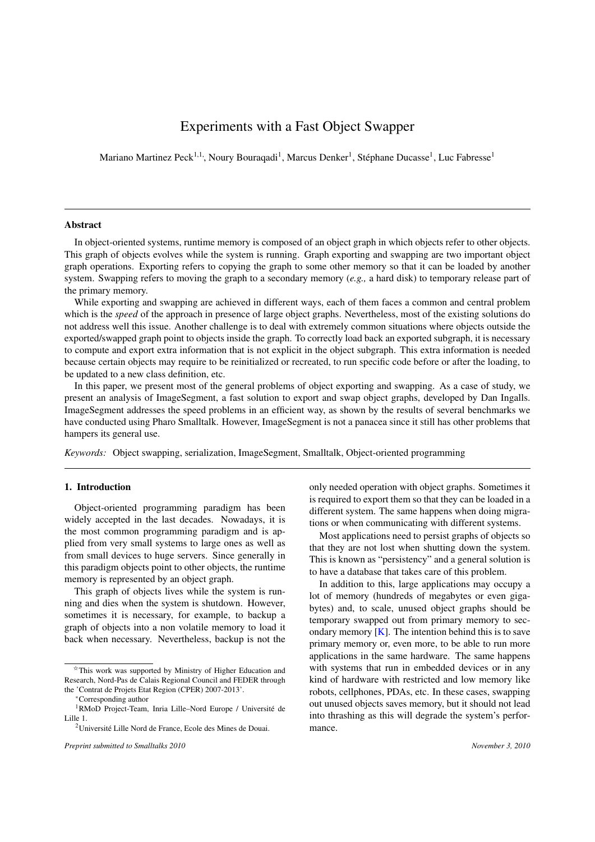# Experiments with a Fast Object Swapper

<span id="page-1-0"></span>Mariano Martinez Peck<sup>1,1,</sup>, Noury Bouraqadi<sup>1</sup>, Marcus Denker<sup>1</sup>, Stéphane Ducasse<sup>1</sup>, Luc Fabresse<sup>1</sup>

#### Abstract

In object-oriented systems, runtime memory is composed of an object graph in which objects refer to other objects. This graph of objects evolves while the system is running. Graph exporting and swapping are two important object graph operations. Exporting refers to copying the graph to some other memory so that it can be loaded by another system. Swapping refers to moving the graph to a secondary memory (*e.g.,* a hard disk) to temporary release part of the primary memory.

While exporting and swapping are achieved in different ways, each of them faces a common and central problem which is the *speed* of the approach in presence of large object graphs. Nevertheless, most of the existing solutions do not address well this issue. Another challenge is to deal with extremely common situations where objects outside the exported/swapped graph point to objects inside the graph. To correctly load back an exported subgraph, it is necessary to compute and export extra information that is not explicit in the object subgraph. This extra information is needed because certain objects may require to be reinitialized or recreated, to run specific code before or after the loading, to be updated to a new class definition, etc.

In this paper, we present most of the general problems of object exporting and swapping. As a case of study, we present an analysis of ImageSegment, a fast solution to export and swap object graphs, developed by Dan Ingalls. ImageSegment addresses the speed problems in an efficient way, as shown by the results of several benchmarks we have conducted using Pharo Smalltalk. However, ImageSegment is not a panacea since it still has other problems that hampers its general use.

*Keywords:* Object swapping, serialization, ImageSegment, Smalltalk, Object-oriented programming

#### 1. Introduction

Object-oriented programming paradigm has been widely accepted in the last decades. Nowadays, it is the most common programming paradigm and is applied from very small systems to large ones as well as from small devices to huge servers. Since generally in this paradigm objects point to other objects, the runtime memory is represented by an object graph.

This graph of objects lives while the system is running and dies when the system is shutdown. However, sometimes it is necessary, for example, to backup a graph of objects into a non volatile memory to load it back when necessary. Nevertheless, backup is not the

*Preprint submitted to Smalltalks 2010 November 3, 2010*

only needed operation with object graphs. Sometimes it is required to export them so that they can be loaded in a different system. The same happens when doing migrations or when communicating with different systems.

Most applications need to persist graphs of objects so that they are not lost when shutting down the system. This is known as "persistency" and a general solution is to have a database that takes care of this problem.

In addition to this, large applications may occupy a lot of memory (hundreds of megabytes or even gigabytes) and, to scale, unused object graphs should be temporary swapped out from primary memory to secondary memory  $[K]$ . The intention behind this is to save primary memory or, even more, to be able to run more applications in the same hardware. The same happens with systems that run in embedded devices or in any kind of hardware with restricted and low memory like robots, cellphones, PDAs, etc. In these cases, swapping out unused objects saves memory, but it should not lead into thrashing as this will degrade the system's performance.

<sup>✩</sup>This work was supported by Ministry of Higher Education and Research, Nord-Pas de Calais Regional Council and FEDER through the 'Contrat de Projets Etat Region (CPER) 2007-2013'.

<sup>∗</sup>Corresponding author

<sup>1</sup>RMoD Project-Team, Inria Lille–Nord Europe / Université de Lille 1.

<sup>2</sup>Université Lille Nord de France, Ecole des Mines de Douai.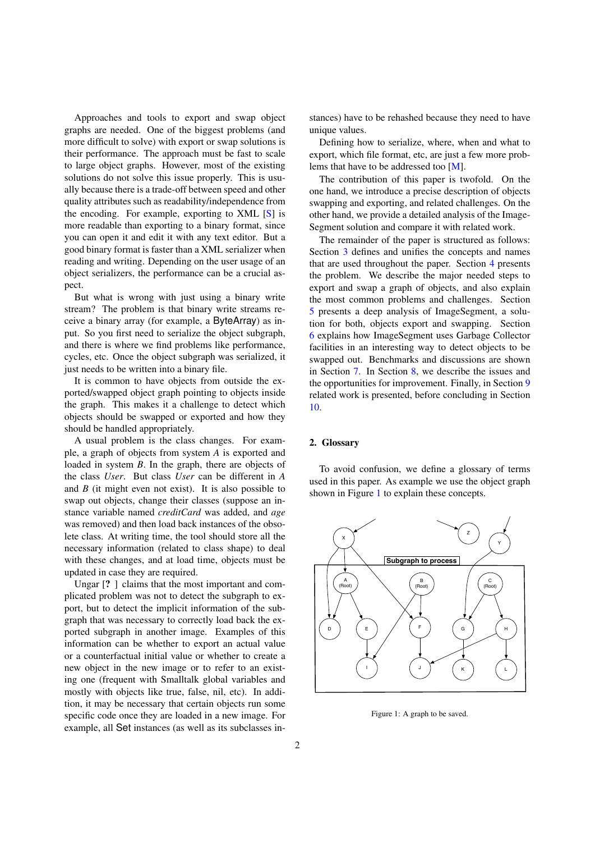Approaches and tools to export and swap object graphs are needed. One of the biggest problems (and more difficult to solve) with export or swap solutions is their performance. The approach must be fast to scale to large object graphs. However, most of the existing solutions do not solve this issue properly. This is usually because there is a trade-off between speed and other quality attributes such as readability/independence from the encoding. For example, exporting to XML [\[S\]](#page-15-1) is more readable than exporting to a binary format, since you can open it and edit it with any text editor. But a good binary format is faster than a XML serializer when reading and writing. Depending on the user usage of an object serializers, the performance can be a crucial aspect.

But what is wrong with just using a binary write stream? The problem is that binary write streams receive a binary array (for example, a ByteArray) as input. So you first need to serialize the object subgraph, and there is where we find problems like performance, cycles, etc. Once the object subgraph was serialized, it just needs to be written into a binary file.

It is common to have objects from outside the exported/swapped object graph pointing to objects inside the graph. This makes it a challenge to detect which objects should be swapped or exported and how they should be handled appropriately.

A usual problem is the class changes. For example, a graph of objects from system *A* is exported and loaded in system *B*. In the graph, there are objects of the class *User*. But class *User* can be different in *A* and *B* (it might even not exist). It is also possible to swap out objects, change their classes (suppose an instance variable named *creditCard* was added, and *age* was removed) and then load back instances of the obsolete class. At writing time, the tool should store all the necessary information (related to class shape) to deal with these changes, and at load time, objects must be updated in case they are required.

Ungar  $[? \]$  claims that the most important and complicated problem was not to detect the subgraph to export, but to detect the implicit information of the subgraph that was necessary to correctly load back the exported subgraph in another image. Examples of this information can be whether to export an actual value or a counterfactual initial value or whether to create a new object in the new image or to refer to an existing one (frequent with Smalltalk global variables and mostly with objects like true, false, nil, etc). In addition, it may be necessary that certain objects run some specific code once they are loaded in a new image. For example, all Set instances (as well as its subclasses instances) have to be rehashed because they need to have unique values.

Defining how to serialize, where, when and what to export, which file format, etc, are just a few more problems that have to be addressed too [\[M\]](#page-15-2).

The contribution of this paper is twofold. On the one hand, we introduce a precise description of objects swapping and exporting, and related challenges. On the other hand, we provide a detailed analysis of the Image-Segment solution and compare it with related work.

The remainder of the paper is structured as follows: Section [3](#page-3-0) defines and unifies the concepts and names that are used throughout the paper. Section [4](#page-5-0) presents the problem. We describe the major needed steps to export and swap a graph of objects, and also explain the most common problems and challenges. Section [5](#page-9-0) presents a deep analysis of ImageSegment, a solution for both, objects export and swapping. Section [6](#page-10-0) explains how ImageSegment uses Garbage Collector facilities in an interesting way to detect objects to be swapped out. Benchmarks and discussions are shown in Section [7.](#page-11-0) In Section [8,](#page-13-0) we describe the issues and the opportunities for improvement. Finally, in Section [9](#page-14-0) related work is presented, before concluding in Section [10.](#page-1-0)

#### 2. Glossary

To avoid confusion, we define a glossary of terms used in this paper. As example we use the object graph shown in Figure [1](#page-2-0) to explain these concepts.



<span id="page-2-0"></span>Figure 1: A graph to be saved.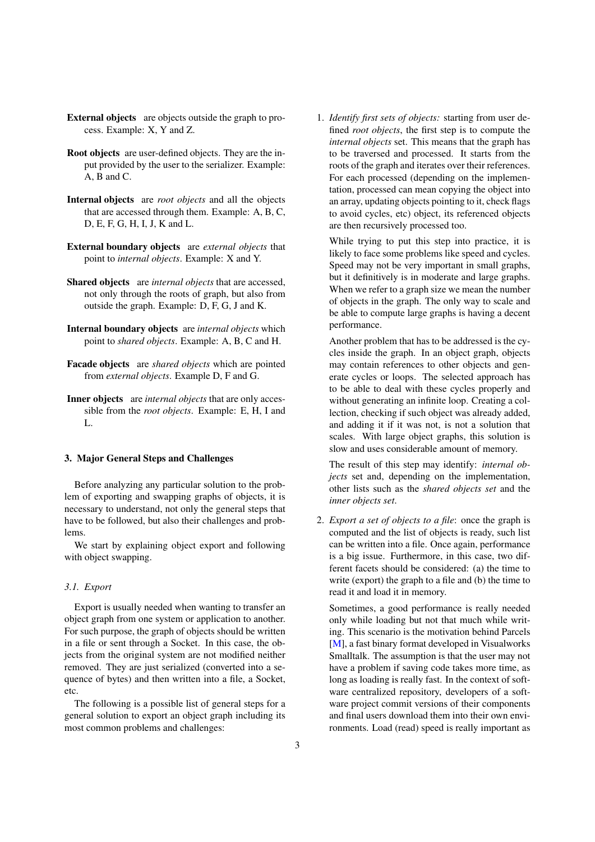- **External objects** are objects outside the graph to process. Example: X, Y and Z.
- Root objects are user-defined objects. They are the input provided by the user to the serializer. Example: A, B and C.
- Internal objects are *root objects* and all the objects that are accessed through them. Example: A, B, C, D, E, F, G, H, I, J, K and L.
- External boundary objects are *external objects* that point to *internal objects*. Example: X and Y.
- Shared objects are *internal objects* that are accessed, not only through the roots of graph, but also from outside the graph. Example: D, F, G, J and K.
- Internal boundary objects are *internal objects* which point to *shared objects*. Example: A, B, C and H.
- Facade objects are *shared objects* which are pointed from *external objects*. Example D, F and G.
- Inner objects are *internal objects* that are only accessible from the *root objects*. Example: E, H, I and L.

#### <span id="page-3-0"></span>3. Major General Steps and Challenges

Before analyzing any particular solution to the problem of exporting and swapping graphs of objects, it is necessary to understand, not only the general steps that have to be followed, but also their challenges and problems.

We start by explaining object export and following with object swapping.

#### *3.1. Export*

Export is usually needed when wanting to transfer an object graph from one system or application to another. For such purpose, the graph of objects should be written in a file or sent through a Socket. In this case, the objects from the original system are not modified neither removed. They are just serialized (converted into a sequence of bytes) and then written into a file, a Socket, etc.

The following is a possible list of general steps for a general solution to export an object graph including its most common problems and challenges:

1. *Identify first sets of objects:* starting from user defined *root objects*, the first step is to compute the *internal objects* set. This means that the graph has to be traversed and processed. It starts from the roots of the graph and iterates over their references. For each processed (depending on the implementation, processed can mean copying the object into an array, updating objects pointing to it, check flags to avoid cycles, etc) object, its referenced objects are then recursively processed too.

While trying to put this step into practice, it is likely to face some problems like speed and cycles. Speed may not be very important in small graphs, but it definitively is in moderate and large graphs. When we refer to a graph size we mean the number of objects in the graph. The only way to scale and be able to compute large graphs is having a decent performance.

Another problem that has to be addressed is the cycles inside the graph. In an object graph, objects may contain references to other objects and generate cycles or loops. The selected approach has to be able to deal with these cycles properly and without generating an infinite loop. Creating a collection, checking if such object was already added, and adding it if it was not, is not a solution that scales. With large object graphs, this solution is slow and uses considerable amount of memory.

The result of this step may identify: *internal objects* set and, depending on the implementation, other lists such as the *shared objects set* and the *inner objects set*.

2. *Export a set of objects to a file*: once the graph is computed and the list of objects is ready, such list can be written into a file. Once again, performance is a big issue. Furthermore, in this case, two different facets should be considered: (a) the time to write (export) the graph to a file and (b) the time to read it and load it in memory.

Sometimes, a good performance is really needed only while loading but not that much while writing. This scenario is the motivation behind Parcels [\[M\]](#page-15-2), a fast binary format developed in Visualworks Smalltalk. The assumption is that the user may not have a problem if saving code takes more time, as long as loading is really fast. In the context of software centralized repository, developers of a software project commit versions of their components and final users download them into their own environments. Load (read) speed is really important as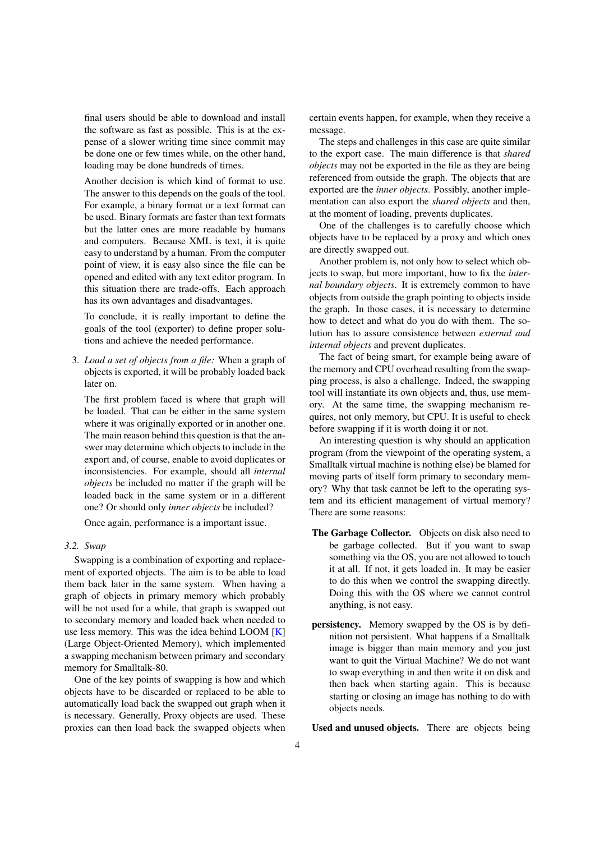final users should be able to download and install the software as fast as possible. This is at the expense of a slower writing time since commit may be done one or few times while, on the other hand, loading may be done hundreds of times.

Another decision is which kind of format to use. The answer to this depends on the goals of the tool. For example, a binary format or a text format can be used. Binary formats are faster than text formats but the latter ones are more readable by humans and computers. Because XML is text, it is quite easy to understand by a human. From the computer point of view, it is easy also since the file can be opened and edited with any text editor program. In this situation there are trade-offs. Each approach has its own advantages and disadvantages.

To conclude, it is really important to define the goals of the tool (exporter) to define proper solutions and achieve the needed performance.

3. *Load a set of objects from a file:* When a graph of objects is exported, it will be probably loaded back later on.

The first problem faced is where that graph will be loaded. That can be either in the same system where it was originally exported or in another one. The main reason behind this question is that the answer may determine which objects to include in the export and, of course, enable to avoid duplicates or inconsistencies. For example, should all *internal objects* be included no matter if the graph will be loaded back in the same system or in a different one? Or should only *inner objects* be included?

Once again, performance is a important issue.

## *3.2. Swap*

Swapping is a combination of exporting and replacement of exported objects. The aim is to be able to load them back later in the same system. When having a graph of objects in primary memory which probably will be not used for a while, that graph is swapped out to secondary memory and loaded back when needed to use less memory. This was the idea behind LOOM [\[K\]](#page-15-0) (Large Object-Oriented Memory), which implemented a swapping mechanism between primary and secondary memory for Smalltalk-80.

One of the key points of swapping is how and which objects have to be discarded or replaced to be able to automatically load back the swapped out graph when it is necessary. Generally, Proxy objects are used. These proxies can then load back the swapped objects when certain events happen, for example, when they receive a message.

The steps and challenges in this case are quite similar to the export case. The main difference is that *shared objects* may not be exported in the file as they are being referenced from outside the graph. The objects that are exported are the *inner objects*. Possibly, another implementation can also export the *shared objects* and then, at the moment of loading, prevents duplicates.

One of the challenges is to carefully choose which objects have to be replaced by a proxy and which ones are directly swapped out.

Another problem is, not only how to select which objects to swap, but more important, how to fix the *internal boundary objects*. It is extremely common to have objects from outside the graph pointing to objects inside the graph. In those cases, it is necessary to determine how to detect and what do you do with them. The solution has to assure consistence between *external and internal objects* and prevent duplicates.

The fact of being smart, for example being aware of the memory and CPU overhead resulting from the swapping process, is also a challenge. Indeed, the swapping tool will instantiate its own objects and, thus, use memory. At the same time, the swapping mechanism requires, not only memory, but CPU. It is useful to check before swapping if it is worth doing it or not.

An interesting question is why should an application program (from the viewpoint of the operating system, a Smalltalk virtual machine is nothing else) be blamed for moving parts of itself form primary to secondary memory? Why that task cannot be left to the operating system and its efficient management of virtual memory? There are some reasons:

- The Garbage Collector. Objects on disk also need to be garbage collected. But if you want to swap something via the OS, you are not allowed to touch it at all. If not, it gets loaded in. It may be easier to do this when we control the swapping directly. Doing this with the OS where we cannot control anything, is not easy.
- persistency. Memory swapped by the OS is by definition not persistent. What happens if a Smalltalk image is bigger than main memory and you just want to quit the Virtual Machine? We do not want to swap everything in and then write it on disk and then back when starting again. This is because starting or closing an image has nothing to do with objects needs.

Used and unused objects. There are objects being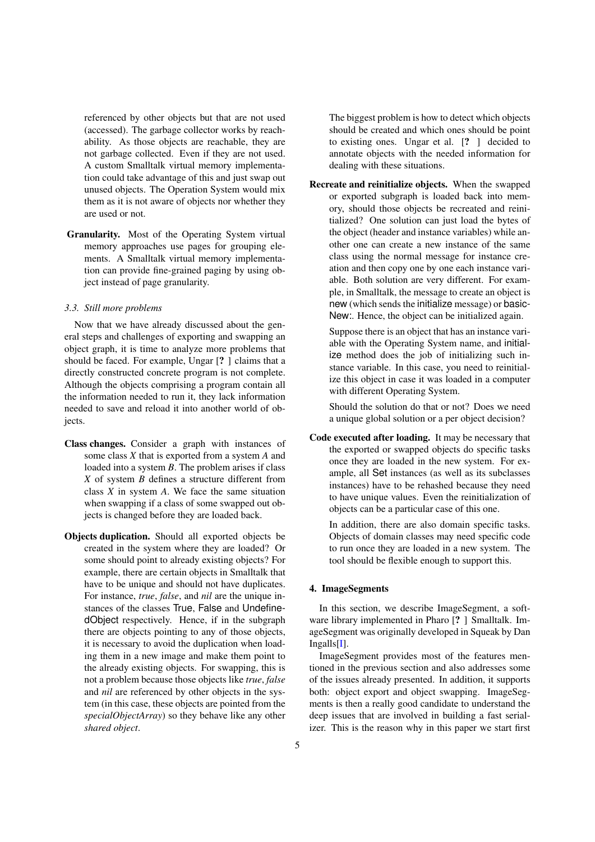referenced by other objects but that are not used (accessed). The garbage collector works by reachability. As those objects are reachable, they are not garbage collected. Even if they are not used. A custom Smalltalk virtual memory implementation could take advantage of this and just swap out unused objects. The Operation System would mix them as it is not aware of objects nor whether they are used or not.

Granularity. Most of the Operating System virtual memory approaches use pages for grouping elements. A Smalltalk virtual memory implementation can provide fine-grained paging by using object instead of page granularity.

#### *3.3. Still more problems*

Now that we have already discussed about the general steps and challenges of exporting and swapping an object graph, it is time to analyze more problems that should be faced. For example, Ungar [? ] claims that a directly constructed concrete program is not complete. Although the objects comprising a program contain all the information needed to run it, they lack information needed to save and reload it into another world of objects.

- Class changes. Consider a graph with instances of some class *X* that is exported from a system *A* and loaded into a system *B*. The problem arises if class *X* of system *B* defines a structure different from class *X* in system *A*. We face the same situation when swapping if a class of some swapped out objects is changed before they are loaded back.
- Objects duplication. Should all exported objects be created in the system where they are loaded? Or some should point to already existing objects? For example, there are certain objects in Smalltalk that have to be unique and should not have duplicates. For instance, *true*, *false*, and *nil* are the unique instances of the classes True, False and UndefinedObject respectively. Hence, if in the subgraph there are objects pointing to any of those objects, it is necessary to avoid the duplication when loading them in a new image and make them point to the already existing objects. For swapping, this is not a problem because those objects like *true*, *false* and *nil* are referenced by other objects in the system (in this case, these objects are pointed from the *specialObjectArray*) so they behave like any other *shared object*.

The biggest problem is how to detect which objects should be created and which ones should be point to existing ones. Ungar et al. [? ] decided to annotate objects with the needed information for dealing with these situations.

Recreate and reinitialize objects. When the swapped or exported subgraph is loaded back into memory, should those objects be recreated and reinitialized? One solution can just load the bytes of the object (header and instance variables) while another one can create a new instance of the same class using the normal message for instance creation and then copy one by one each instance variable. Both solution are very different. For example, in Smalltalk, the message to create an object is new (which sends the initialize message) or basic-New:. Hence, the object can be initialized again.

Suppose there is an object that has an instance variable with the Operating System name, and initialize method does the job of initializing such instance variable. In this case, you need to reinitialize this object in case it was loaded in a computer with different Operating System.

Should the solution do that or not? Does we need a unique global solution or a per object decision?

Code executed after loading. It may be necessary that the exported or swapped objects do specific tasks once they are loaded in the new system. For example, all Set instances (as well as its subclasses instances) have to be rehashed because they need to have unique values. Even the reinitialization of objects can be a particular case of this one.

In addition, there are also domain specific tasks. Objects of domain classes may need specific code to run once they are loaded in a new system. The tool should be flexible enough to support this.

#### <span id="page-5-0"></span>4. ImageSegments

In this section, we describe ImageSegment, a software library implemented in Pharo [? ] Smalltalk. ImageSegment was originally developed in Squeak by Dan Ingalls[\[I\]](#page-15-3).

ImageSegment provides most of the features mentioned in the previous section and also addresses some of the issues already presented. In addition, it supports both: object export and object swapping. ImageSegments is then a really good candidate to understand the deep issues that are involved in building a fast serializer. This is the reason why in this paper we start first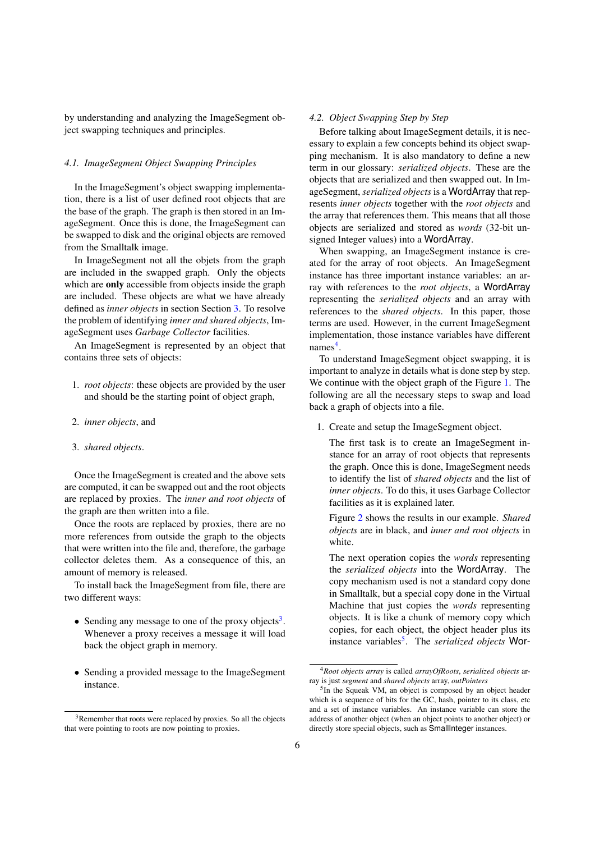by understanding and analyzing the ImageSegment object swapping techniques and principles.

### *4.1. ImageSegment Object Swapping Principles*

In the ImageSegment's object swapping implementation, there is a list of user defined root objects that are the base of the graph. The graph is then stored in an ImageSegment. Once this is done, the ImageSegment can be swapped to disk and the original objects are removed from the Smalltalk image.

In ImageSegment not all the objets from the graph are included in the swapped graph. Only the objects which are only accessible from objects inside the graph are included. These objects are what we have already defined as *inner objects* in section Section [3.](#page-3-0) To resolve the problem of identifying *inner and shared objects*, ImageSegment uses *Garbage Collector* facilities.

An ImageSegment is represented by an object that contains three sets of objects:

- 1. *root objects*: these objects are provided by the user and should be the starting point of object graph,
- 2. *inner objects*, and
- 3. *shared objects*.

Once the ImageSegment is created and the above sets are computed, it can be swapped out and the root objects are replaced by proxies. The *inner and root objects* of the graph are then written into a file.

Once the roots are replaced by proxies, there are no more references from outside the graph to the objects that were written into the file and, therefore, the garbage collector deletes them. As a consequence of this, an amount of memory is released.

To install back the ImageSegment from file, there are two different ways:

- Sending any message to one of the proxy objects<sup>[3](#page-6-0)</sup>. Whenever a proxy receives a message it will load back the object graph in memory.
- Sending a provided message to the ImageSegment instance.

# *4.2. Object Swapping Step by Step*

Before talking about ImageSegment details, it is necessary to explain a few concepts behind its object swapping mechanism. It is also mandatory to define a new term in our glossary: *serialized objects*. These are the objects that are serialized and then swapped out. In ImageSegment, *serialized objects* is a WordArray that represents *inner objects* together with the *root objects* and the array that references them. This means that all those objects are serialized and stored as *words* (32-bit unsigned Integer values) into a WordArray.

When swapping, an ImageSegment instance is created for the array of root objects. An ImageSegment instance has three important instance variables: an array with references to the *root objects*, a WordArray representing the *serialized objects* and an array with references to the *shared objects*. In this paper, those terms are used. However, in the current ImageSegment implementation, those instance variables have different  $names<sup>4</sup>$  $names<sup>4</sup>$  $names<sup>4</sup>$ .

To understand ImageSegment object swapping, it is important to analyze in details what is done step by step. We continue with the object graph of the Figure [1.](#page-2-0) The following are all the necessary steps to swap and load back a graph of objects into a file.

1. Create and setup the ImageSegment object.

The first task is to create an ImageSegment instance for an array of root objects that represents the graph. Once this is done, ImageSegment needs to identify the list of *shared objects* and the list of *inner objects*. To do this, it uses Garbage Collector facilities as it is explained later.

Figure [2](#page-7-0) shows the results in our example. *Shared objects* are in black, and *inner and root objects* in white.

The next operation copies the *words* representing the *serialized objects* into the WordArray. The copy mechanism used is not a standard copy done in Smalltalk, but a special copy done in the Virtual Machine that just copies the *words* representing objects. It is like a chunk of memory copy which copies, for each object, the object header plus its instance variables<sup>[5](#page-6-2)</sup>. The *serialized objects* Wor-

<span id="page-6-0"></span><sup>3</sup>Remember that roots were replaced by proxies. So all the objects that were pointing to roots are now pointing to proxies.

<span id="page-6-1"></span><sup>4</sup>*Root objects array* is called *arrayOfRoots*, *serialized objects* array is just *segment* and *shared objects* array, *outPointers*

<span id="page-6-2"></span><sup>&</sup>lt;sup>5</sup>In the Squeak VM, an object is composed by an object header which is a sequence of bits for the GC, hash, pointer to its class, etc and a set of instance variables. An instance variable can store the address of another object (when an object points to another object) or directly store special objects, such as SmallInteger instances.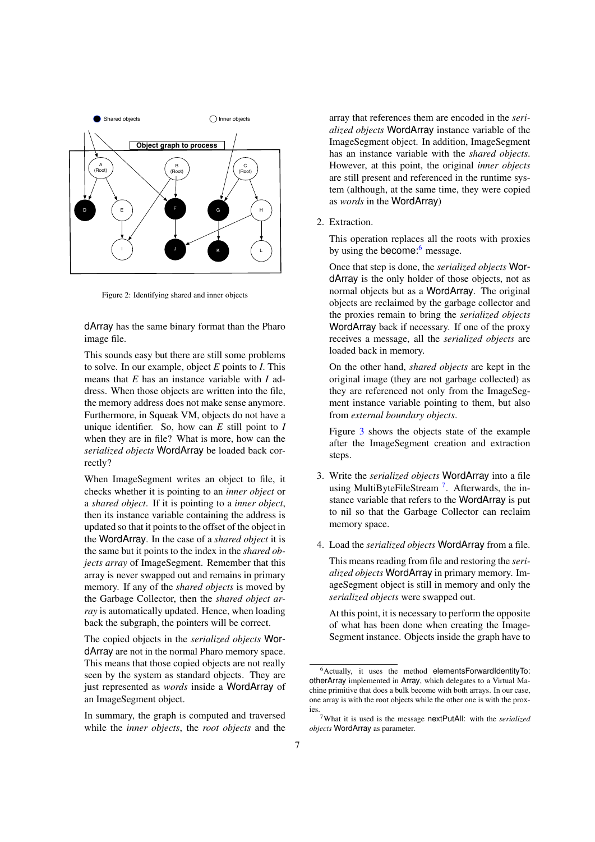

<span id="page-7-0"></span>Figure 2: Identifying shared and inner objects

dArray has the same binary format than the Pharo image file.

This sounds easy but there are still some problems to solve. In our example, object *E* points to *I*. This means that *E* has an instance variable with *I* address. When those objects are written into the file, the memory address does not make sense anymore. Furthermore, in Squeak VM, objects do not have a unique identifier. So, how can *E* still point to *I* when they are in file? What is more, how can the *serialized objects* WordArray be loaded back correctly?

When ImageSegment writes an object to file, it checks whether it is pointing to an *inner object* or a *shared object*. If it is pointing to a *inner object*, then its instance variable containing the address is updated so that it points to the offset of the object in the WordArray. In the case of a *shared object* it is the same but it points to the index in the *shared objects array* of ImageSegment. Remember that this array is never swapped out and remains in primary memory. If any of the *shared objects* is moved by the Garbage Collector, then the *shared object array* is automatically updated. Hence, when loading back the subgraph, the pointers will be correct.

The copied objects in the *serialized objects* WordArray are not in the normal Pharo memory space. This means that those copied objects are not really seen by the system as standard objects. They are just represented as *words* inside a WordArray of an ImageSegment object.

In summary, the graph is computed and traversed while the *inner objects*, the *root objects* and the

array that references them are encoded in the *serialized objects* WordArray instance variable of the ImageSegment object. In addition, ImageSegment has an instance variable with the *shared objects*. However, at this point, the original *inner objects* are still present and referenced in the runtime system (although, at the same time, they were copied as *words* in the WordArray)

2. Extraction.

This operation replaces all the roots with proxies by using the become:<sup>[6](#page-7-1)</sup> message.

Once that step is done, the *serialized objects* WordArray is the only holder of those objects, not as normal objects but as a WordArray. The original objects are reclaimed by the garbage collector and the proxies remain to bring the *serialized objects* WordArray back if necessary. If one of the proxy receives a message, all the *serialized objects* are loaded back in memory.

On the other hand, *shared objects* are kept in the original image (they are not garbage collected) as they are referenced not only from the ImageSegment instance variable pointing to them, but also from *external boundary objects*.

Figure [3](#page-8-0) shows the objects state of the example after the ImageSegment creation and extraction steps.

- 3. Write the *serialized objects* WordArray into a file using MultiByteFileStream<sup>[7](#page-7-2)</sup>. Afterwards, the instance variable that refers to the WordArray is put to nil so that the Garbage Collector can reclaim memory space.
- 4. Load the *serialized objects* WordArray from a file.

This means reading from file and restoring the *serialized objects* WordArray in primary memory. ImageSegment object is still in memory and only the *serialized objects* were swapped out.

At this point, it is necessary to perform the opposite of what has been done when creating the Image-Segment instance. Objects inside the graph have to

<span id="page-7-1"></span><sup>6</sup>Actually, it uses the method elementsForwardIdentityTo: otherArray implemented in Array, which delegates to a Virtual Machine primitive that does a bulk become with both arrays. In our case, one array is with the root objects while the other one is with the proxies.

<span id="page-7-2"></span><sup>7</sup>What it is used is the message nextPutAll: with the *serialized objects* WordArray as parameter.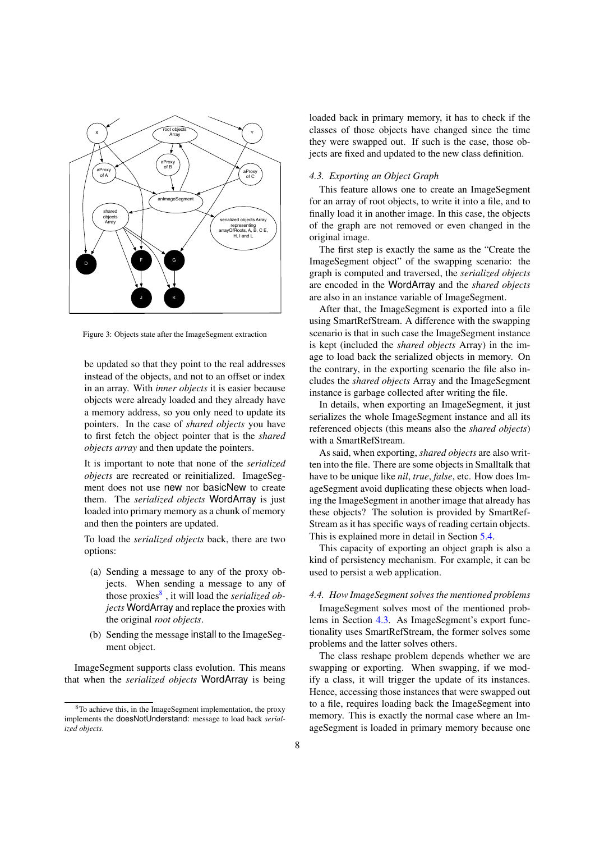

<span id="page-8-0"></span>Figure 3: Objects state after the ImageSegment extraction

be updated so that they point to the real addresses instead of the objects, and not to an offset or index in an array. With *inner objects* it is easier because objects were already loaded and they already have a memory address, so you only need to update its pointers. In the case of *shared objects* you have to first fetch the object pointer that is the *shared objects array* and then update the pointers.

It is important to note that none of the *serialized objects* are recreated or reinitialized. ImageSegment does not use new nor basicNew to create them. The *serialized objects* WordArray is just loaded into primary memory as a chunk of memory and then the pointers are updated.

To load the *serialized objects* back, there are two options:

- (a) Sending a message to any of the proxy objects. When sending a message to any of those proxies[8](#page-8-1) , it will load the *serialized objects* WordArray and replace the proxies with the original *root objects*.
- (b) Sending the message install to the ImageSegment object.

ImageSegment supports class evolution. This means that when the *serialized objects* WordArray is being

loaded back in primary memory, it has to check if the classes of those objects have changed since the time they were swapped out. If such is the case, those objects are fixed and updated to the new class definition.

#### <span id="page-8-2"></span>*4.3. Exporting an Object Graph*

This feature allows one to create an ImageSegment for an array of root objects, to write it into a file, and to finally load it in another image. In this case, the objects of the graph are not removed or even changed in the original image.

The first step is exactly the same as the "Create the ImageSegment object" of the swapping scenario: the graph is computed and traversed, the *serialized objects* are encoded in the WordArray and the *shared objects* are also in an instance variable of ImageSegment.

After that, the ImageSegment is exported into a file using SmartRefStream. A difference with the swapping scenario is that in such case the ImageSegment instance is kept (included the *shared objects* Array) in the image to load back the serialized objects in memory. On the contrary, in the exporting scenario the file also includes the *shared objects* Array and the ImageSegment instance is garbage collected after writing the file.

In details, when exporting an ImageSegment, it just serializes the whole ImageSegment instance and all its referenced objects (this means also the *shared objects*) with a SmartRefStream.

As said, when exporting, *shared objects* are also written into the file. There are some objects in Smalltalk that have to be unique like *nil*, *true*, *false*, etc. How does ImageSegment avoid duplicating these objects when loading the ImageSegment in another image that already has these objects? The solution is provided by SmartRef-Stream as it has specific ways of reading certain objects. This is explained more in detail in Section [5.4.](#page-1-0)

This capacity of exporting an object graph is also a kind of persistency mechanism. For example, it can be used to persist a web application.

# *4.4. How ImageSegment solves the mentioned problems*

ImageSegment solves most of the mentioned problems in Section [4.3.](#page-8-2) As ImageSegment's export functionality uses SmartRefStream, the former solves some problems and the latter solves others.

The class reshape problem depends whether we are swapping or exporting. When swapping, if we modify a class, it will trigger the update of its instances. Hence, accessing those instances that were swapped out to a file, requires loading back the ImageSegment into memory. This is exactly the normal case where an ImageSegment is loaded in primary memory because one

<span id="page-8-1"></span><sup>8</sup>To achieve this, in the ImageSegment implementation, the proxy implements the doesNotUnderstand: message to load back *serialized objects*.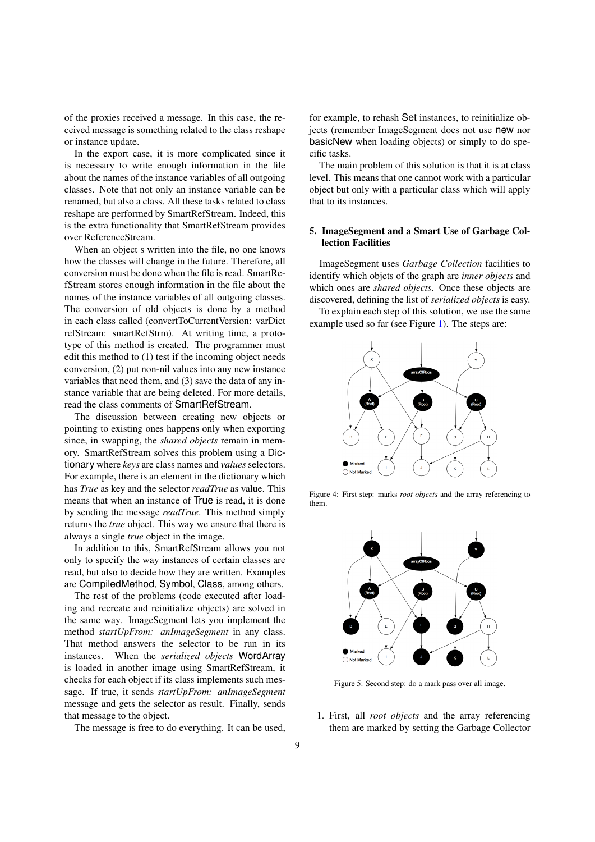of the proxies received a message. In this case, the received message is something related to the class reshape or instance update.

In the export case, it is more complicated since it is necessary to write enough information in the file about the names of the instance variables of all outgoing classes. Note that not only an instance variable can be renamed, but also a class. All these tasks related to class reshape are performed by SmartRefStream. Indeed, this is the extra functionality that SmartRefStream provides over ReferenceStream.

When an object s written into the file, no one knows how the classes will change in the future. Therefore, all conversion must be done when the file is read. SmartRefStream stores enough information in the file about the names of the instance variables of all outgoing classes. The conversion of old objects is done by a method in each class called (convertToCurrentVersion: varDict refStream: smartRefStrm). At writing time, a prototype of this method is created. The programmer must edit this method to (1) test if the incoming object needs conversion, (2) put non-nil values into any new instance variables that need them, and (3) save the data of any instance variable that are being deleted. For more details, read the class comments of SmartRefStream.

The discussion between creating new objects or pointing to existing ones happens only when exporting since, in swapping, the *shared objects* remain in memory. SmartRefStream solves this problem using a Dictionary where *keys* are class names and *values* selectors. For example, there is an element in the dictionary which has *True* as key and the selector *readTrue* as value. This means that when an instance of True is read, it is done by sending the message *readTrue*. This method simply returns the *true* object. This way we ensure that there is always a single *true* object in the image.

In addition to this, SmartRefStream allows you not only to specify the way instances of certain classes are read, but also to decide how they are written. Examples are CompiledMethod, Symbol, Class, among others.

The rest of the problems (code executed after loading and recreate and reinitialize objects) are solved in the same way. ImageSegment lets you implement the method *startUpFrom: anImageSegment* in any class. That method answers the selector to be run in its instances. When the *serialized objects* WordArray is loaded in another image using SmartRefStream, it checks for each object if its class implements such message. If true, it sends *startUpFrom: anImageSegment* message and gets the selector as result. Finally, sends that message to the object.

The message is free to do everything. It can be used,

for example, to rehash Set instances, to reinitialize objects (remember ImageSegment does not use new nor basicNew when loading objects) or simply to do specific tasks.

The main problem of this solution is that it is at class level. This means that one cannot work with a particular object but only with a particular class which will apply that to its instances.

# <span id="page-9-0"></span>5. ImageSegment and a Smart Use of Garbage Collection Facilities

ImageSegment uses *Garbage Collection* facilities to identify which objets of the graph are *inner objects* and which ones are *shared objects*. Once these objects are discovered, defining the list of *serialized objects* is easy.

To explain each step of this solution, we use the same example used so far (see Figure [1\)](#page-2-0). The steps are:



Figure 4: First step: marks *root objects* and the array referencing to them.

<span id="page-9-1"></span>

<span id="page-9-2"></span>Figure 5: Second step: do a mark pass over all image.

1. First, all *root objects* and the array referencing them are marked by setting the Garbage Collector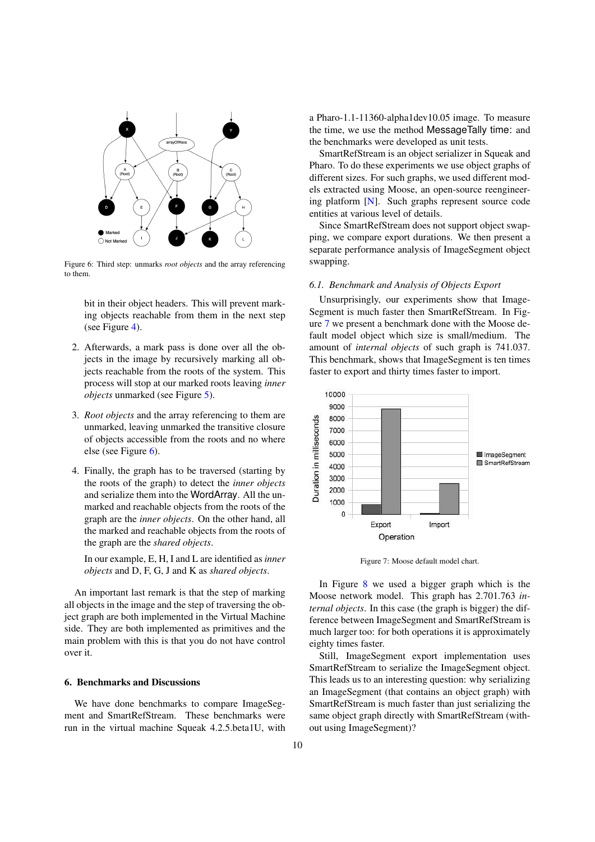

<span id="page-10-1"></span>Figure 6: Third step: unmarks *root objects* and the array referencing to them.

bit in their object headers. This will prevent marking objects reachable from them in the next step (see Figure [4\)](#page-9-1).

- 2. Afterwards, a mark pass is done over all the objects in the image by recursively marking all objects reachable from the roots of the system. This process will stop at our marked roots leaving *inner objects* unmarked (see Figure [5\)](#page-9-2).
- 3. *Root objects* and the array referencing to them are unmarked, leaving unmarked the transitive closure of objects accessible from the roots and no where else (see Figure [6\)](#page-10-1).
- 4. Finally, the graph has to be traversed (starting by the roots of the graph) to detect the *inner objects* and serialize them into the WordArray. All the unmarked and reachable objects from the roots of the graph are the *inner objects*. On the other hand, all the marked and reachable objects from the roots of the graph are the *shared objects*.

In our example, E, H, I and L are identified as *inner objects* and D, F, G, J and K as *shared objects*.

An important last remark is that the step of marking all objects in the image and the step of traversing the object graph are both implemented in the Virtual Machine side. They are both implemented as primitives and the main problem with this is that you do not have control over it.

## <span id="page-10-0"></span>6. Benchmarks and Discussions

We have done benchmarks to compare ImageSegment and SmartRefStream. These benchmarks were run in the virtual machine Squeak 4.2.5.beta1U, with a Pharo-1.1-11360-alpha1dev10.05 image. To measure the time, we use the method MessageTally time: and the benchmarks were developed as unit tests.

SmartRefStream is an object serializer in Squeak and Pharo. To do these experiments we use object graphs of different sizes. For such graphs, we used different models extracted using Moose, an open-source reengineering platform  $[N]$ . Such graphs represent source code entities at various level of details.

Since SmartRefStream does not support object swapping, we compare export durations. We then present a separate performance analysis of ImageSegment object swapping.

#### *6.1. Benchmark and Analysis of Objects Export*

Unsurprisingly, our experiments show that Image-Segment is much faster then SmartRefStream. In Figure [7](#page-10-2) we present a benchmark done with the Moose default model object which size is small/medium. The amount of *internal objects* of such graph is 741.037. This benchmark, shows that ImageSegment is ten times faster to export and thirty times faster to import.



<span id="page-10-2"></span>Figure 7: Moose default model chart.

In Figure [8](#page-11-1) we used a bigger graph which is the Moose network model. This graph has 2.701.763 *internal objects*. In this case (the graph is bigger) the difference between ImageSegment and SmartRefStream is much larger too: for both operations it is approximately eighty times faster.

Still, ImageSegment export implementation uses SmartRefStream to serialize the ImageSegment object. This leads us to an interesting question: why serializing an ImageSegment (that contains an object graph) with SmartRefStream is much faster than just serializing the same object graph directly with SmartRefStream (without using ImageSegment)?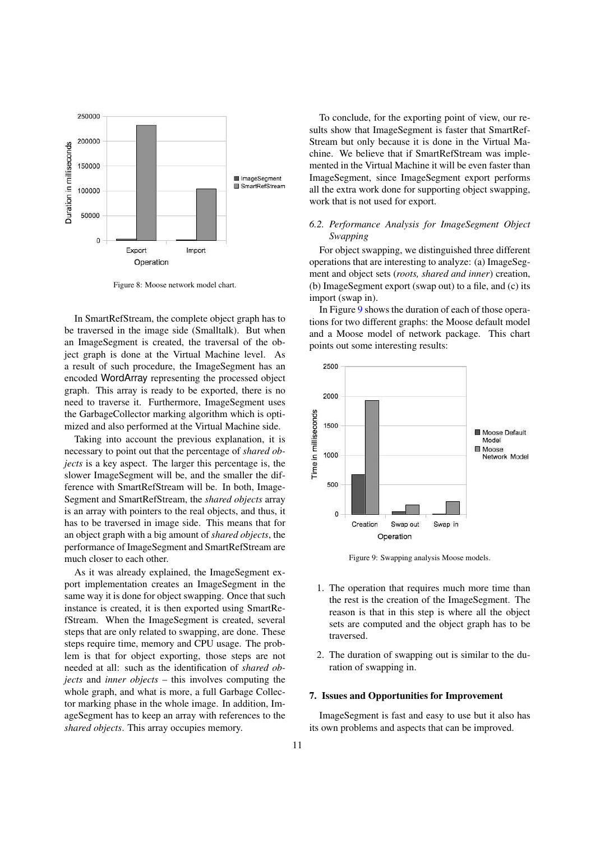

<span id="page-11-1"></span>Figure 8: Moose network model chart.

In SmartRefStream, the complete object graph has to be traversed in the image side (Smalltalk). But when an ImageSegment is created, the traversal of the object graph is done at the Virtual Machine level. As a result of such procedure, the ImageSegment has an encoded WordArray representing the processed object graph. This array is ready to be exported, there is no need to traverse it. Furthermore, ImageSegment uses the GarbageCollector marking algorithm which is optimized and also performed at the Virtual Machine side.

Taking into account the previous explanation, it is necessary to point out that the percentage of *shared objects* is a key aspect. The larger this percentage is, the slower ImageSegment will be, and the smaller the difference with SmartRefStream will be. In both, Image-Segment and SmartRefStream, the *shared objects* array is an array with pointers to the real objects, and thus, it has to be traversed in image side. This means that for an object graph with a big amount of *shared objects*, the performance of ImageSegment and SmartRefStream are much closer to each other.

As it was already explained, the ImageSegment export implementation creates an ImageSegment in the same way it is done for object swapping. Once that such instance is created, it is then exported using SmartRefStream. When the ImageSegment is created, several steps that are only related to swapping, are done. These steps require time, memory and CPU usage. The problem is that for object exporting, those steps are not needed at all: such as the identification of *shared objects* and *inner objects* – this involves computing the whole graph, and what is more, a full Garbage Collector marking phase in the whole image. In addition, ImageSegment has to keep an array with references to the *shared objects*. This array occupies memory.

To conclude, for the exporting point of view, our results show that ImageSegment is faster that SmartRef-Stream but only because it is done in the Virtual Machine. We believe that if SmartRefStream was implemented in the Virtual Machine it will be even faster than ImageSegment, since ImageSegment export performs all the extra work done for supporting object swapping, work that is not used for export.

# *6.2. Performance Analysis for ImageSegment Object Swapping*

For object swapping, we distinguished three different operations that are interesting to analyze: (a) ImageSegment and object sets (*roots, shared and inner*) creation, (b) ImageSegment export (swap out) to a file, and (c) its import (swap in).

In Figure [9](#page-11-2) shows the duration of each of those operations for two different graphs: the Moose default model and a Moose model of network package. This chart points out some interesting results:



<span id="page-11-2"></span>Figure 9: Swapping analysis Moose models.

- 1. The operation that requires much more time than the rest is the creation of the ImageSegment. The reason is that in this step is where all the object sets are computed and the object graph has to be traversed.
- 2. The duration of swapping out is similar to the duration of swapping in.

#### <span id="page-11-0"></span>7. Issues and Opportunities for Improvement

ImageSegment is fast and easy to use but it also has its own problems and aspects that can be improved.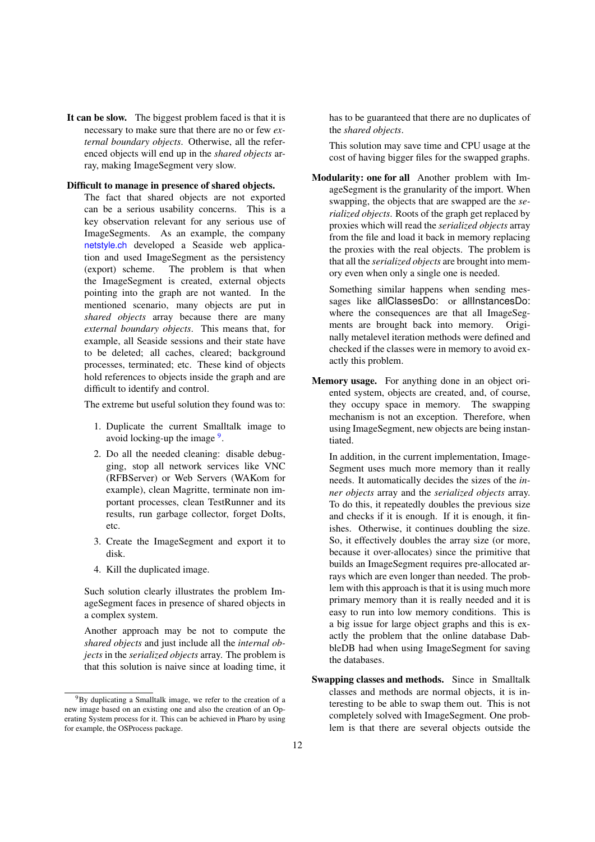It can be slow. The biggest problem faced is that it is necessary to make sure that there are no or few *external boundary objects*. Otherwise, all the referenced objects will end up in the *shared objects* array, making ImageSegment very slow.

# Difficult to manage in presence of shared objects.

The fact that shared objects are not exported can be a serious usability concerns. This is a key observation relevant for any serious use of ImageSegments. As an example, the company <netstyle.ch> developed a Seaside web application and used ImageSegment as the persistency (export) scheme. The problem is that when the ImageSegment is created, external objects pointing into the graph are not wanted. In the mentioned scenario, many objects are put in *shared objects* array because there are many *external boundary objects*. This means that, for example, all Seaside sessions and their state have to be deleted; all caches, cleared; background processes, terminated; etc. These kind of objects hold references to objects inside the graph and are difficult to identify and control.

The extreme but useful solution they found was to:

- 1. Duplicate the current Smalltalk image to avoid locking-up the image <sup>[9](#page-12-0)</sup>.
- 2. Do all the needed cleaning: disable debugging, stop all network services like VNC (RFBServer) or Web Servers (WAKom for example), clean Magritte, terminate non important processes, clean TestRunner and its results, run garbage collector, forget DoIts, etc.
- 3. Create the ImageSegment and export it to disk.
- 4. Kill the duplicated image.

Such solution clearly illustrates the problem ImageSegment faces in presence of shared objects in a complex system.

Another approach may be not to compute the *shared objects* and just include all the *internal objects* in the *serialized objects* array. The problem is that this solution is naive since at loading time, it has to be guaranteed that there are no duplicates of the *shared objects*.

This solution may save time and CPU usage at the cost of having bigger files for the swapped graphs.

Modularity: one for all Another problem with ImageSegment is the granularity of the import. When swapping, the objects that are swapped are the *serialized objects*. Roots of the graph get replaced by proxies which will read the *serialized objects* array from the file and load it back in memory replacing the proxies with the real objects. The problem is that all the *serialized objects* are brought into memory even when only a single one is needed.

Something similar happens when sending messages like allClassesDo: or allInstancesDo: where the consequences are that all ImageSegments are brought back into memory. Originally metalevel iteration methods were defined and checked if the classes were in memory to avoid exactly this problem.

Memory usage. For anything done in an object oriented system, objects are created, and, of course, they occupy space in memory. The swapping mechanism is not an exception. Therefore, when using ImageSegment, new objects are being instantiated.

In addition, in the current implementation, Image-Segment uses much more memory than it really needs. It automatically decides the sizes of the *inner objects* array and the *serialized objects* array. To do this, it repeatedly doubles the previous size and checks if it is enough. If it is enough, it finishes. Otherwise, it continues doubling the size. So, it effectively doubles the array size (or more, because it over-allocates) since the primitive that builds an ImageSegment requires pre-allocated arrays which are even longer than needed. The problem with this approach is that it is using much more primary memory than it is really needed and it is easy to run into low memory conditions. This is a big issue for large object graphs and this is exactly the problem that the online database DabbleDB had when using ImageSegment for saving the databases.

Swapping classes and methods. Since in Smalltalk classes and methods are normal objects, it is interesting to be able to swap them out. This is not completely solved with ImageSegment. One problem is that there are several objects outside the

<span id="page-12-0"></span><sup>9</sup>By duplicating a Smalltalk image, we refer to the creation of a new image based on an existing one and also the creation of an Operating System process for it. This can be achieved in Pharo by using for example, the OSProcess package.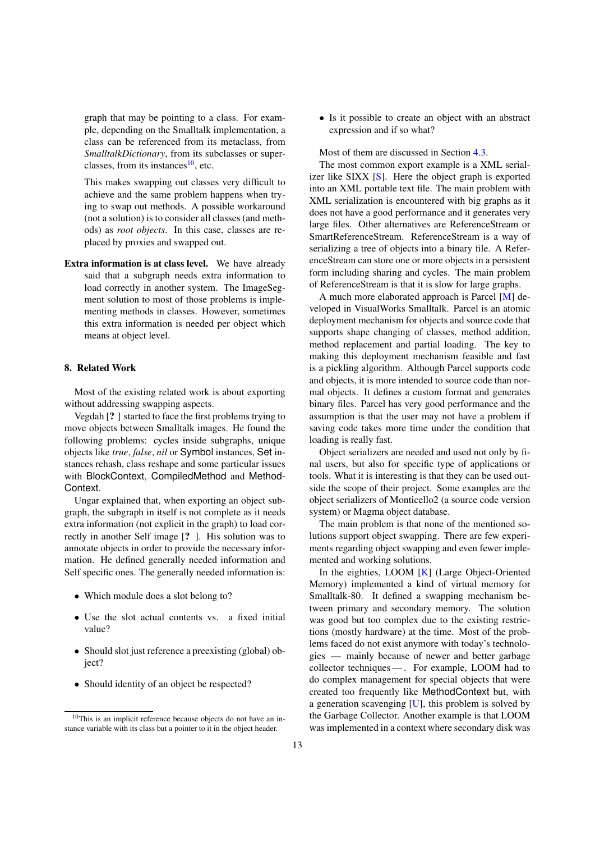graph that may be pointing to a class. For example, depending on the Smalltalk implementation, a class can be referenced from its metaclass, from *SmalltalkDictionary*, from its subclasses or superclasses, from its instances $^{10}$  $^{10}$  $^{10}$ , etc.

This makes swapping out classes very difficult to achieve and the same problem happens when trying to swap out methods. A possible workaround (not a solution) is to consider all classes (and methods) as *root objects*. In this case, classes are replaced by proxies and swapped out.

Extra information is at class level. We have already said that a subgraph needs extra information to load correctly in another system. The ImageSegment solution to most of those problems is implementing methods in classes. However, sometimes this extra information is needed per object which means at object level.

# <span id="page-13-0"></span>8. Related Work

Most of the existing related work is about exporting without addressing swapping aspects.

Vegdah [? ] started to face the first problems trying to move objects between Smalltalk images. He found the following problems: cycles inside subgraphs, unique objects like *true*, *false*, *nil* or Symbol instances, Set instances rehash, class reshape and some particular issues with BlockContext, CompiledMethod and Method-Context.

Ungar explained that, when exporting an object subgraph, the subgraph in itself is not complete as it needs extra information (not explicit in the graph) to load correctly in another Self image [? ]. His solution was to annotate objects in order to provide the necessary information. He defined generally needed information and Self specific ones. The generally needed information is:

- Which module does a slot belong to?
- Use the slot actual contents vs. a fixed initial value?
- Should slot just reference a preexisting (global) object?
- Should identity of an object be respected?

• Is it possible to create an object with an abstract expression and if so what?

Most of them are discussed in Section [4.3.](#page-8-2)

The most common export example is a XML serializer like SIXX [\[S\]](#page-15-1). Here the object graph is exported into an XML portable text file. The main problem with XML serialization is encountered with big graphs as it does not have a good performance and it generates very large files. Other alternatives are ReferenceStream or SmartReferenceStream. ReferenceStream is a way of serializing a tree of objects into a binary file. A ReferenceStream can store one or more objects in a persistent form including sharing and cycles. The main problem of ReferenceStream is that it is slow for large graphs.

A much more elaborated approach is Parcel [\[M\]](#page-15-2) developed in VisualWorks Smalltalk. Parcel is an atomic deployment mechanism for objects and source code that supports shape changing of classes, method addition, method replacement and partial loading. The key to making this deployment mechanism feasible and fast is a pickling algorithm. Although Parcel supports code and objects, it is more intended to source code than normal objects. It defines a custom format and generates binary files. Parcel has very good performance and the assumption is that the user may not have a problem if saving code takes more time under the condition that loading is really fast.

Object serializers are needed and used not only by final users, but also for specific type of applications or tools. What it is interesting is that they can be used outside the scope of their project. Some examples are the object serializers of Monticello2 (a source code version system) or Magma object database.

The main problem is that none of the mentioned solutions support object swapping. There are few experiments regarding object swapping and even fewer implemented and working solutions.

In the eighties, LOOM  $[K]$  (Large Object-Oriented Memory) implemented a kind of virtual memory for Smalltalk-80. It defined a swapping mechanism between primary and secondary memory. The solution was good but too complex due to the existing restrictions (mostly hardware) at the time. Most of the problems faced do not exist anymore with today's technologies — mainly because of newer and better garbage collector techniques — . For example, LOOM had to do complex management for special objects that were created too frequently like MethodContext but, with a generation scavenging [\[U\]](#page-15-5), this problem is solved by the Garbage Collector. Another example is that LOOM was implemented in a context where secondary disk was

<span id="page-13-1"></span><sup>10</sup>This is an implicit reference because objects do not have an instance variable with its class but a pointer to it in the object header.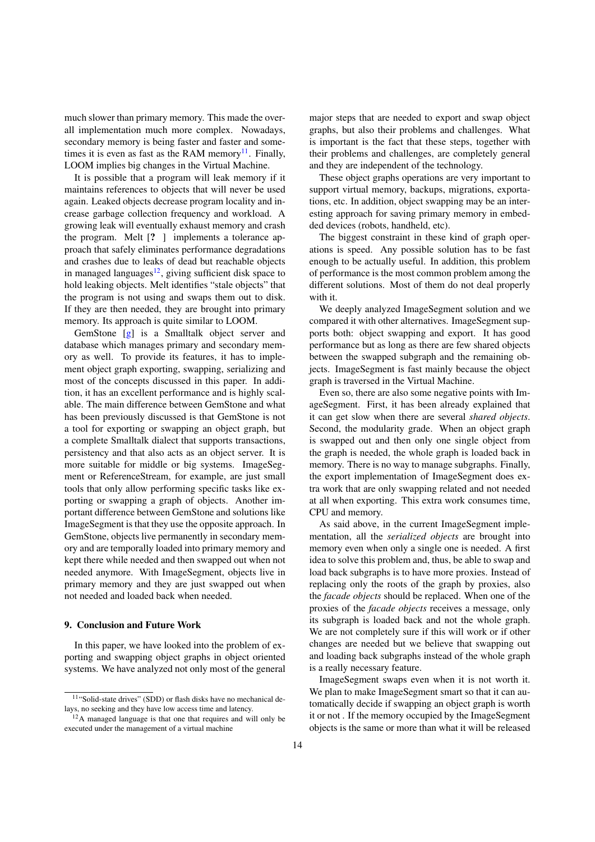much slower than primary memory. This made the overall implementation much more complex. Nowadays, secondary memory is being faster and faster and some-times it is even as fast as the RAM memory<sup>[11](#page-14-1)</sup>. Finally, LOOM implies big changes in the Virtual Machine.

It is possible that a program will leak memory if it maintains references to objects that will never be used again. Leaked objects decrease program locality and increase garbage collection frequency and workload. A growing leak will eventually exhaust memory and crash the program. Melt [? ] implements a tolerance approach that safely eliminates performance degradations and crashes due to leaks of dead but reachable objects in managed languages $12$ , giving sufficient disk space to hold leaking objects. Melt identifies "stale objects" that the program is not using and swaps them out to disk. If they are then needed, they are brought into primary memory. Its approach is quite similar to LOOM.

GemStone [\[g\]](#page-15-6) is a Smalltalk object server and database which manages primary and secondary memory as well. To provide its features, it has to implement object graph exporting, swapping, serializing and most of the concepts discussed in this paper. In addition, it has an excellent performance and is highly scalable. The main difference between GemStone and what has been previously discussed is that GemStone is not a tool for exporting or swapping an object graph, but a complete Smalltalk dialect that supports transactions, persistency and that also acts as an object server. It is more suitable for middle or big systems. ImageSegment or ReferenceStream, for example, are just small tools that only allow performing specific tasks like exporting or swapping a graph of objects. Another important difference between GemStone and solutions like ImageSegment is that they use the opposite approach. In GemStone, objects live permanently in secondary memory and are temporally loaded into primary memory and kept there while needed and then swapped out when not needed anymore. With ImageSegment, objects live in primary memory and they are just swapped out when not needed and loaded back when needed.

#### <span id="page-14-0"></span>9. Conclusion and Future Work

In this paper, we have looked into the problem of exporting and swapping object graphs in object oriented systems. We have analyzed not only most of the general

major steps that are needed to export and swap object graphs, but also their problems and challenges. What is important is the fact that these steps, together with their problems and challenges, are completely general and they are independent of the technology.

These object graphs operations are very important to support virtual memory, backups, migrations, exportations, etc. In addition, object swapping may be an interesting approach for saving primary memory in embedded devices (robots, handheld, etc).

The biggest constraint in these kind of graph operations is speed. Any possible solution has to be fast enough to be actually useful. In addition, this problem of performance is the most common problem among the different solutions. Most of them do not deal properly with it.

We deeply analyzed ImageSegment solution and we compared it with other alternatives. ImageSegment supports both: object swapping and export. It has good performance but as long as there are few shared objects between the swapped subgraph and the remaining objects. ImageSegment is fast mainly because the object graph is traversed in the Virtual Machine.

Even so, there are also some negative points with ImageSegment. First, it has been already explained that it can get slow when there are several *shared objects*. Second, the modularity grade. When an object graph is swapped out and then only one single object from the graph is needed, the whole graph is loaded back in memory. There is no way to manage subgraphs. Finally, the export implementation of ImageSegment does extra work that are only swapping related and not needed at all when exporting. This extra work consumes time, CPU and memory.

As said above, in the current ImageSegment implementation, all the *serialized objects* are brought into memory even when only a single one is needed. A first idea to solve this problem and, thus, be able to swap and load back subgraphs is to have more proxies. Instead of replacing only the roots of the graph by proxies, also the *facade objects* should be replaced. When one of the proxies of the *facade objects* receives a message, only its subgraph is loaded back and not the whole graph. We are not completely sure if this will work or if other changes are needed but we believe that swapping out and loading back subgraphs instead of the whole graph is a really necessary feature.

ImageSegment swaps even when it is not worth it. We plan to make ImageSegment smart so that it can automatically decide if swapping an object graph is worth it or not . If the memory occupied by the ImageSegment objects is the same or more than what it will be released

<span id="page-14-1"></span><sup>11</sup>"Solid-state drives" (SDD) or flash disks have no mechanical delays, no seeking and they have low access time and latency.

<span id="page-14-2"></span><sup>12</sup>A managed language is that one that requires and will only be executed under the management of a virtual machine